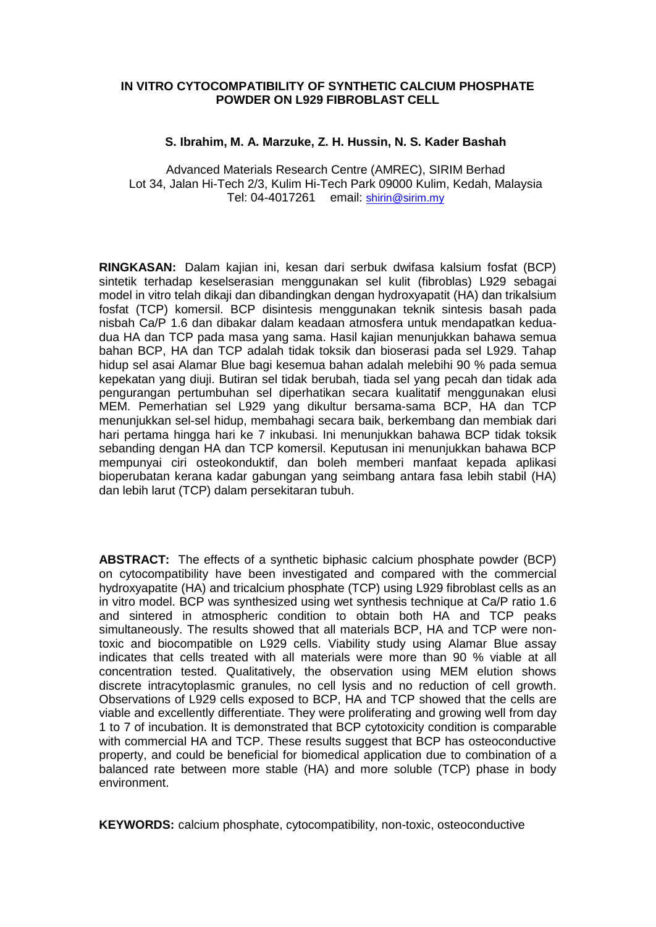## **IN VITRO CYTOCOMPATIBILITY OF SYNTHETIC CALCIUM PHOSPHATE POWDER ON L929 FIBROBLAST CELL**

# **S. Ibrahim, M. A. Marzuke, Z. H. Hussin, N. S. Kader Bashah**

Advanced Materials Research Centre (AMREC), SIRIM Berhad Lot 34, Jalan Hi-Tech 2/3, Kulim Hi-Tech Park 09000 Kulim, Kedah, Malaysia Tel: 04-4017261 email: shirin@sirim.my

**RINGKASAN:** Dalam kajian ini, kesan dari serbuk dwifasa kalsium fosfat (BCP) sintetik terhadap keselserasian menggunakan sel kulit (fibroblas) L929 sebagai model in vitro telah dikaji dan dibandingkan dengan hydroxyapatit (HA) dan trikalsium fosfat (TCP) komersil. BCP disintesis menggunakan teknik sintesis basah pada nisbah Ca/P 1.6 dan dibakar dalam keadaan atmosfera untuk mendapatkan keduadua HA dan TCP pada masa yang sama. Hasil kajian menunjukkan bahawa semua bahan BCP, HA dan TCP adalah tidak toksik dan bioserasi pada sel L929. Tahap hidup sel asai Alamar Blue bagi kesemua bahan adalah melebihi 90 % pada semua kepekatan yang diuji. Butiran sel tidak berubah, tiada sel yang pecah dan tidak ada pengurangan pertumbuhan sel diperhatikan secara kualitatif menggunakan elusi MEM. Pemerhatian sel L929 yang dikultur bersama-sama BCP, HA dan TCP menunjukkan sel-sel hidup, membahagi secara baik, berkembang dan membiak dari hari pertama hingga hari ke 7 inkubasi. Ini menunjukkan bahawa BCP tidak toksik sebanding dengan HA dan TCP komersil. Keputusan ini menunjukkan bahawa BCP mempunyai ciri osteokonduktif, dan boleh memberi manfaat kepada aplikasi bioperubatan kerana kadar gabungan yang seimbang antara fasa lebih stabil (HA) dan lebih larut (TCP) dalam persekitaran tubuh.

**ABSTRACT:** The effects of a synthetic biphasic calcium phosphate powder (BCP) on cytocompatibility have been investigated and compared with the commercial hydroxyapatite (HA) and tricalcium phosphate (TCP) using L929 fibroblast cells as an in vitro model. BCP was synthesized using wet synthesis technique at Ca/P ratio 1.6 and sintered in atmospheric condition to obtain both HA and TCP peaks simultaneously. The results showed that all materials BCP, HA and TCP were nontoxic and biocompatible on L929 cells. Viability study using Alamar Blue assay indicates that cells treated with all materials were more than 90 % viable at all concentration tested. Qualitatively, the observation using MEM elution shows discrete intracytoplasmic granules, no cell lysis and no reduction of cell growth. Observations of L929 cells exposed to BCP, HA and TCP showed that the cells are viable and excellently differentiate. They were proliferating and growing well from day 1 to 7 of incubation. It is demonstrated that BCP cytotoxicity condition is comparable with commercial HA and TCP. These results suggest that BCP has osteoconductive property, and could be beneficial for biomedical application due to combination of a balanced rate between more stable (HA) and more soluble (TCP) phase in body environment.

**KEYWORDS:** calcium phosphate, cytocompatibility, non-toxic, osteoconductive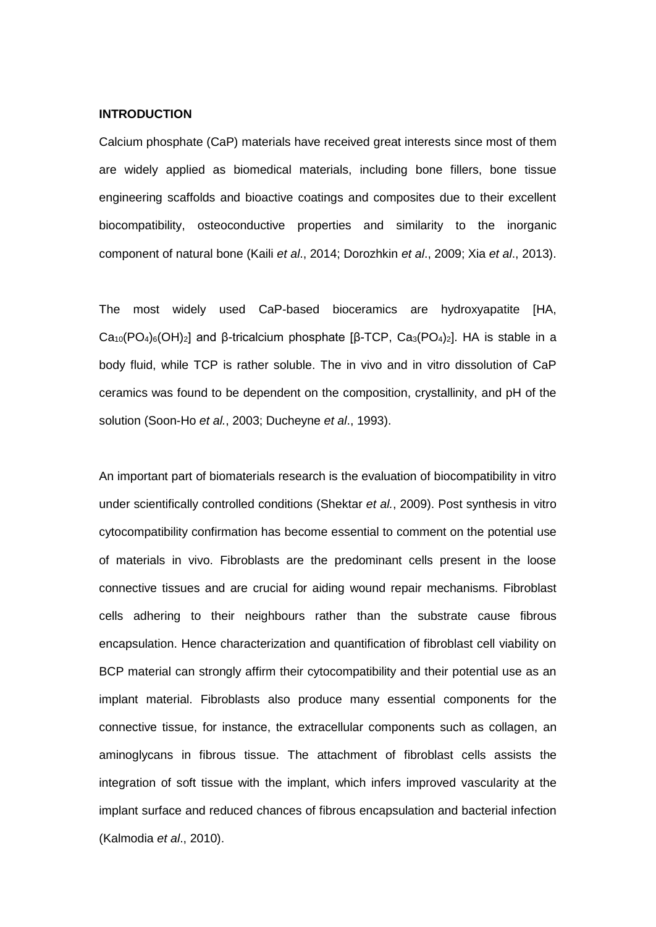### **INTRODUCTION**

Calcium phosphate (CaP) materials have received great interests since most of them are widely applied as biomedical materials, including bone fillers, bone tissue engineering scaffolds and bioactive coatings and composites due to their excellent biocompatibility, osteoconductive properties and similarity to the inorganic component of natural bone (Kaili *et al*., 2014; Dorozhkin *et al*., 2009; Xia *et al*., 2013).

The most widely used CaP-based bioceramics are hydroxyapatite [HA, Ca<sub>10</sub>(PO<sub>4</sub>)<sub>6</sub>(OH)<sub>2</sub>] and β-tricalcium phosphate [β-TCP, Ca<sub>3</sub>(PO<sub>4</sub>)<sub>2</sub>]. HA is stable in a body fluid, while TCP is rather soluble. The in vivo and in vitro dissolution of CaP ceramics was found to be dependent on the composition, crystallinity, and pH of the solution (Soon-Ho *et al.*, 2003; Ducheyne *et al*., 1993).

An important part of biomaterials research is the evaluation of biocompatibility in vitro under scientifically controlled conditions (Shektar *et al.*, 2009). Post synthesis in vitro cytocompatibility confirmation has become essential to comment on the potential use of materials in vivo. Fibroblasts are the predominant cells present in the loose connective tissues and are crucial for aiding wound repair mechanisms. Fibroblast cells adhering to their neighbours rather than the substrate cause fibrous encapsulation. Hence characterization and quantification of fibroblast cell viability on BCP material can strongly affirm their cytocompatibility and their potential use as an implant material. Fibroblasts also produce many essential components for the connective tissue, for instance, the extracellular components such as collagen, an aminoglycans in fibrous tissue. The attachment of fibroblast cells assists the integration of soft tissue with the implant, which infers improved vascularity at the implant surface and reduced chances of fibrous encapsulation and bacterial infection (Kalmodia *et al*., 2010).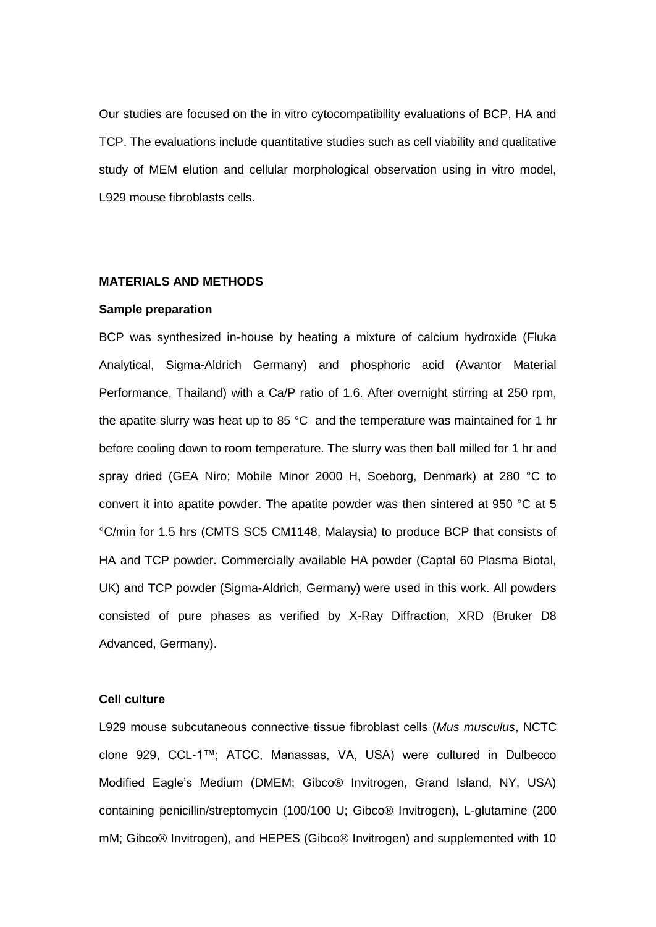Our studies are focused on the in vitro cytocompatibility evaluations of BCP, HA and TCP. The evaluations include quantitative studies such as cell viability and qualitative study of MEM elution and cellular morphological observation using in vitro model, L929 mouse fibroblasts cells.

### **MATERIALS AND METHODS**

### **Sample preparation**

BCP was synthesized in-house by heating a mixture of calcium hydroxide (Fluka Analytical, Sigma-Aldrich Germany) and phosphoric acid (Avantor Material Performance, Thailand) with a Ca/P ratio of 1.6. After overnight stirring at 250 rpm, the apatite slurry was heat up to 85 °C and the temperature was maintained for 1 hr before cooling down to room temperature. The slurry was then ball milled for 1 hr and spray dried (GEA Niro; Mobile Minor 2000 H, Soeborg, Denmark) at 280 °C to convert it into apatite powder. The apatite powder was then sintered at 950 °C at 5 °C/min for 1.5 hrs (CMTS SC5 CM1148, Malaysia) to produce BCP that consists of HA and TCP powder. Commercially available HA powder (Captal 60 Plasma Biotal, UK) and TCP powder (Sigma-Aldrich, Germany) were used in this work. All powders consisted of pure phases as verified by X-Ray Diffraction, XRD (Bruker D8 Advanced, Germany).

# **Cell culture**

L929 mouse subcutaneous connective tissue fibroblast cells (*Mus musculus*, NCTC clone 929, CCL-1™; ATCC, Manassas, VA, USA) were cultured in Dulbecco Modified Eagle's Medium (DMEM; Gibco® Invitrogen, Grand Island, NY, USA) containing penicillin/streptomycin (100/100 U; Gibco® Invitrogen), L-glutamine (200 mM; Gibco® Invitrogen), and HEPES (Gibco® Invitrogen) and supplemented with 10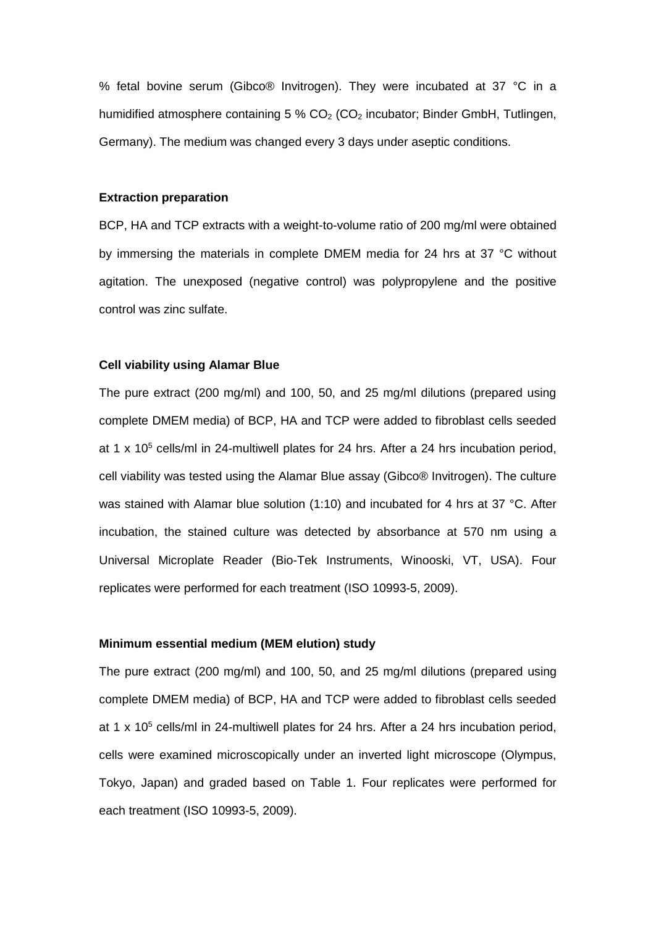% fetal bovine serum (Gibco® Invitrogen). They were incubated at 37 °C in a humidified atmosphere containing  $5\%$  CO<sub>2</sub> (CO<sub>2</sub> incubator; Binder GmbH, Tutlingen, Germany). The medium was changed every 3 days under aseptic conditions.

# **Extraction preparation**

BCP, HA and TCP extracts with a weight-to-volume ratio of 200 mg/ml were obtained by immersing the materials in complete DMEM media for 24 hrs at 37 °C without agitation. The unexposed (negative control) was polypropylene and the positive control was zinc sulfate.

#### **Cell viability using Alamar Blue**

The pure extract (200 mg/ml) and 100, 50, and 25 mg/ml dilutions (prepared using complete DMEM media) of BCP, HA and TCP were added to fibroblast cells seeded at 1 x 10<sup>5</sup> cells/ml in 24-multiwell plates for 24 hrs. After a 24 hrs incubation period, cell viability was tested using the Alamar Blue assay (Gibco® Invitrogen). The culture was stained with Alamar blue solution (1:10) and incubated for 4 hrs at 37 °C. After incubation, the stained culture was detected by absorbance at 570 nm using a Universal Microplate Reader (Bio-Tek Instruments, Winooski, VT, USA). Four replicates were performed for each treatment (ISO 10993-5, 2009).

# **Minimum essential medium (MEM elution) study**

The pure extract (200 mg/ml) and 100, 50, and 25 mg/ml dilutions (prepared using complete DMEM media) of BCP, HA and TCP were added to fibroblast cells seeded at 1 x 10<sup>5</sup> cells/ml in 24-multiwell plates for 24 hrs. After a 24 hrs incubation period, cells were examined microscopically under an inverted light microscope (Olympus, Tokyo, Japan) and graded based on Table 1. Four replicates were performed for each treatment (ISO 10993-5, 2009).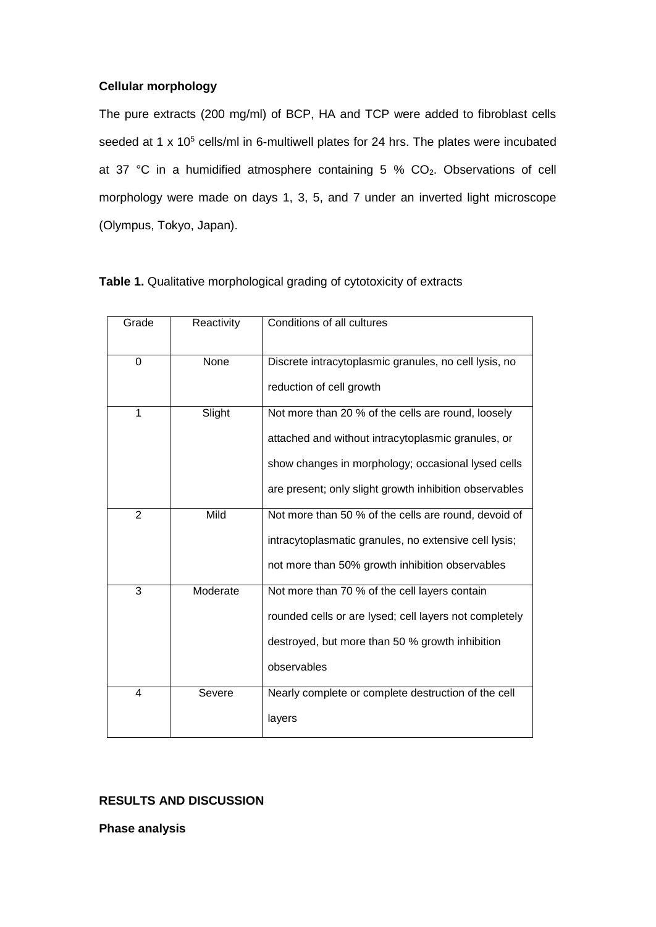# **Cellular morphology**

The pure extracts (200 mg/ml) of BCP, HA and TCP were added to fibroblast cells seeded at 1 x 10<sup>5</sup> cells/ml in 6-multiwell plates for 24 hrs. The plates were incubated at 37 °C in a humidified atmosphere containing 5 % CO2. Observations of cell morphology were made on days 1, 3, 5, and 7 under an inverted light microscope (Olympus, Tokyo, Japan).

| Grade          | Reactivity | Conditions of all cultures                                                                                                                                                                                               |  |
|----------------|------------|--------------------------------------------------------------------------------------------------------------------------------------------------------------------------------------------------------------------------|--|
| 0              | None       | Discrete intracytoplasmic granules, no cell lysis, no<br>reduction of cell growth                                                                                                                                        |  |
| 1              | Slight     | Not more than 20 % of the cells are round, loosely<br>attached and without intracytoplasmic granules, or<br>show changes in morphology; occasional lysed cells<br>are present; only slight growth inhibition observables |  |
| $\overline{2}$ | Mild       | Not more than 50 % of the cells are round, devoid of<br>intracytoplasmatic granules, no extensive cell lysis;<br>not more than 50% growth inhibition observables                                                         |  |
| 3              | Moderate   | Not more than 70 % of the cell layers contain<br>rounded cells or are lysed; cell layers not completely<br>destroyed, but more than 50 % growth inhibition<br>observables                                                |  |
| 4              | Severe     | Nearly complete or complete destruction of the cell<br>layers                                                                                                                                                            |  |

| Table 1. Qualitative morphological grading of cytotoxicity of extracts |  |  |
|------------------------------------------------------------------------|--|--|
|------------------------------------------------------------------------|--|--|

# **RESULTS AND DISCUSSION**

**Phase analysis**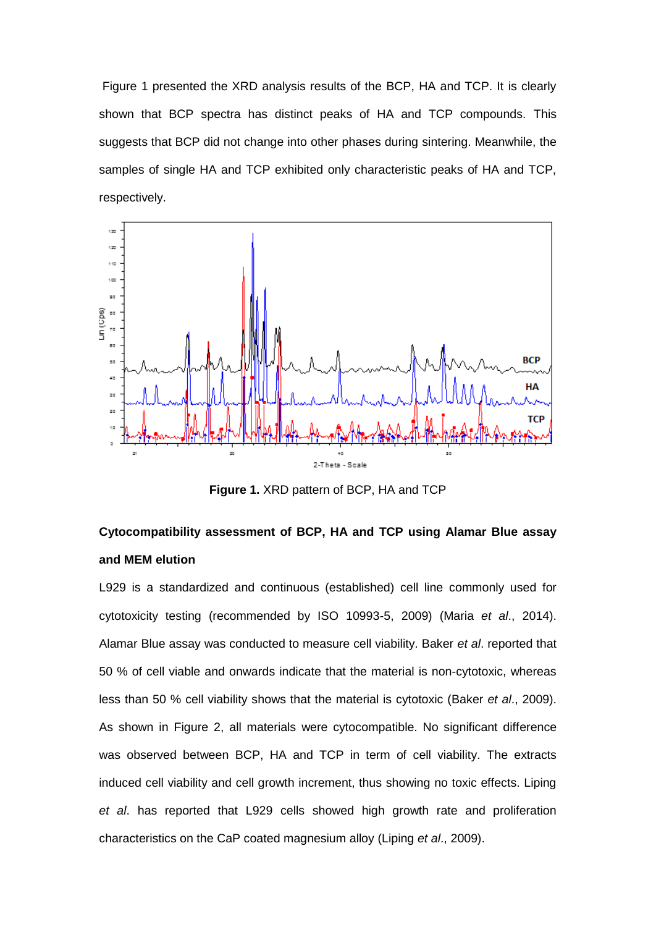Figure 1 presented the XRD analysis results of the BCP, HA and TCP. It is clearly shown that BCP spectra has distinct peaks of HA and TCP compounds. This suggests that BCP did not change into other phases during sintering. Meanwhile, the samples of single HA and TCP exhibited only characteristic peaks of HA and TCP, respectively.



**Figure 1.** XRD pattern of BCP, HA and TCP

# **Cytocompatibility assessment of BCP, HA and TCP using Alamar Blue assay and MEM elution**

L929 is a standardized and continuous (established) cell line commonly used for cytotoxicity testing (recommended by ISO 10993-5, 2009) (Maria *et al*., 2014). Alamar Blue assay was conducted to measure cell viability. Baker *et al*. reported that 50 % of cell viable and onwards indicate that the material is non-cytotoxic, whereas less than 50 % cell viability shows that the material is cytotoxic (Baker *et al*., 2009). As shown in Figure 2, all materials were cytocompatible. No significant difference was observed between BCP, HA and TCP in term of cell viability. The extracts induced cell viability and cell growth increment, thus showing no toxic effects. Liping *et al*. has reported that L929 cells showed high growth rate and proliferation characteristics on the CaP coated magnesium alloy (Liping *et al*., 2009).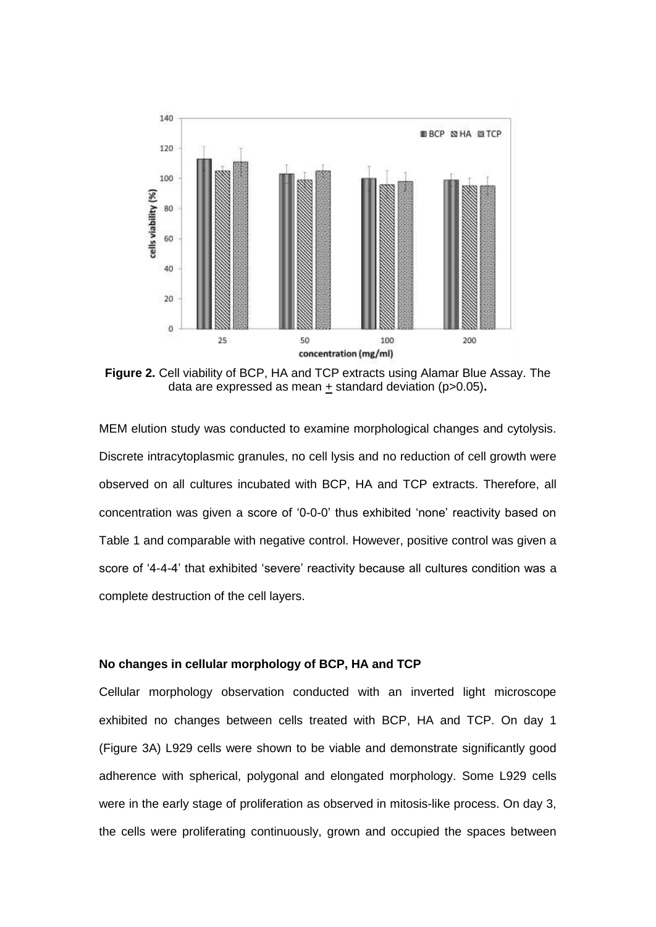

**Figure 2.** Cell viability of BCP, HA and TCP extracts using Alamar Blue Assay. The data are expressed as mean  $\pm$  standard deviation ( $p > 0.05$ ).

MEM elution study was conducted to examine morphological changes and cytolysis. Discrete intracytoplasmic granules, no cell lysis and no reduction of cell growth were observed on all cultures incubated with BCP, HA and TCP extracts. Therefore, all concentration was given a score of '0-0-0' thus exhibited 'none' reactivity based on Table 1 and comparable with negative control. However, positive control was given a score of '4-4-4' that exhibited 'severe' reactivity because all cultures condition was a complete destruction of the cell layers.

# **No changes in cellular morphology of BCP, HA and TCP**

Cellular morphology observation conducted with an inverted light microscope exhibited no changes between cells treated with BCP, HA and TCP. On day 1 (Figure 3A) L929 cells were shown to be viable and demonstrate significantly good adherence with spherical, polygonal and elongated morphology. Some L929 cells were in the early stage of proliferation as observed in mitosis-like process. On day 3, the cells were proliferating continuously, grown and occupied the spaces between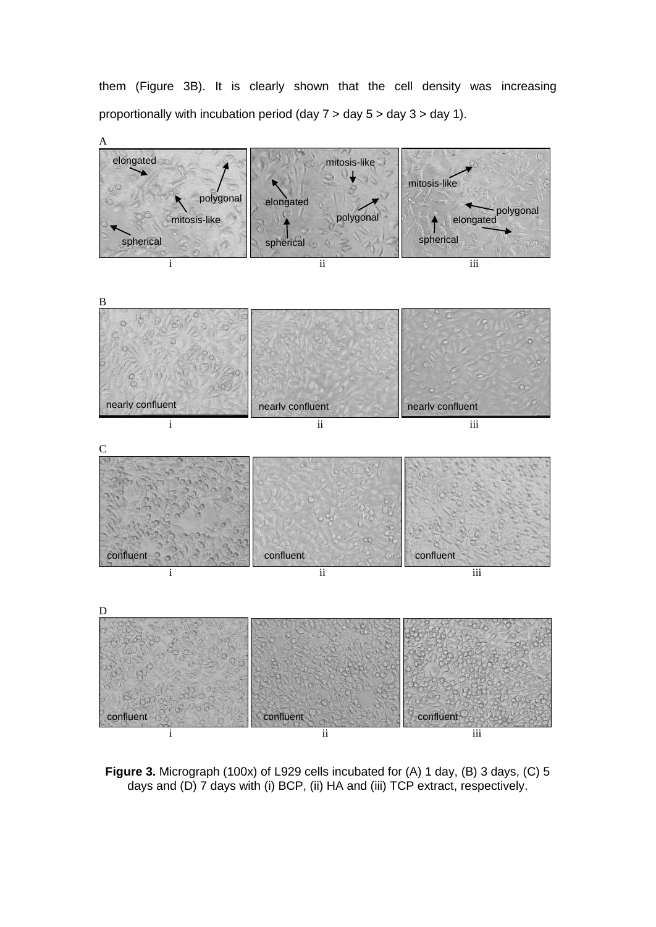them (Figure 3B). It is clearly shown that the cell density was increasing proportionally with incubation period (day 7 > day 5 > day 3 > day 1).



**Figure 3.** Micrograph (100x) of L929 cells incubated for (A) 1 day, (B) 3 days, (C) 5 days and (D) 7 days with (i) BCP, (ii) HA and (iii) TCP extract, respectively.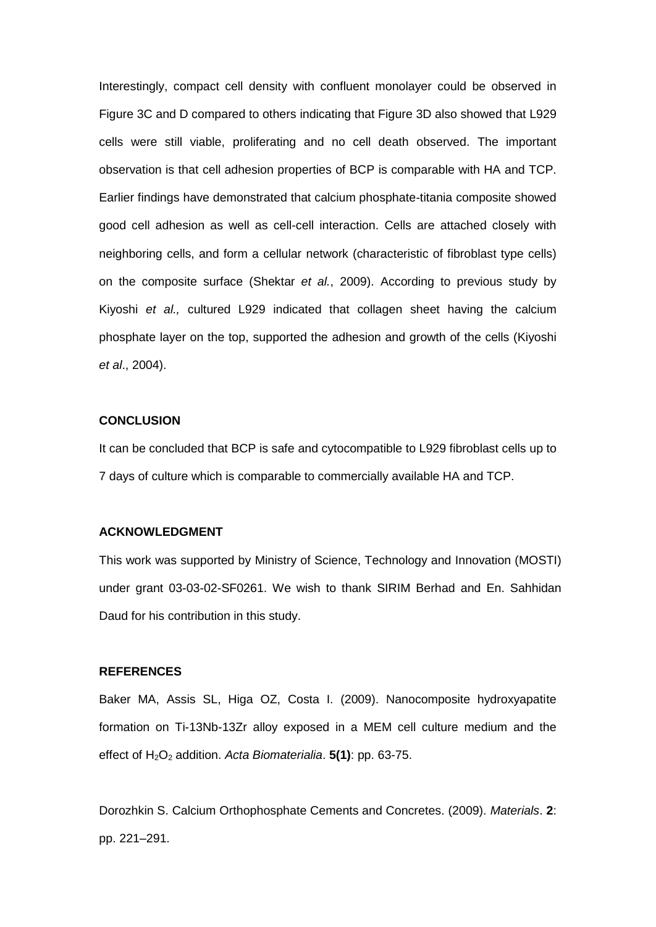Interestingly, compact cell density with confluent monolayer could be observed in Figure 3C and D compared to others indicating that Figure 3D also showed that L929 cells were still viable, proliferating and no cell death observed. The important observation is that cell adhesion properties of BCP is comparable with HA and TCP. Earlier findings have demonstrated that calcium phosphate-titania composite showed good cell adhesion as well as cell-cell interaction. Cells are attached closely with neighboring cells, and form a cellular network (characteristic of fibroblast type cells) on the composite surface (Shektar *et al.*, 2009). According to previous study by Kiyoshi *et al.,* cultured L929 indicated that collagen sheet having the calcium phosphate layer on the top, supported the adhesion and growth of the cells (Kiyoshi *et al*., 2004).

#### **CONCLUSION**

It can be concluded that BCP is safe and cytocompatible to L929 fibroblast cells up to 7 days of culture which is comparable to commercially available HA and TCP.

### **ACKNOWLEDGMENT**

This work was supported by Ministry of Science, Technology and Innovation (MOSTI) under grant 03-03-02-SF0261. We wish to thank SIRIM Berhad and En. Sahhidan Daud for his contribution in this study.

#### **REFERENCES**

Baker MA, Assis SL, Higa OZ, Costa I. (2009). Nanocomposite hydroxyapatite formation on Ti-13Nb-13Zr alloy exposed in a MEM cell culture medium and the effect of H2O<sup>2</sup> addition. *Acta Biomaterialia*. **5(1)**: pp. 63-75.

Dorozhkin S. Calcium Orthophosphate Cements and Concretes. (2009). *Materials*. **2**: pp. 221–291.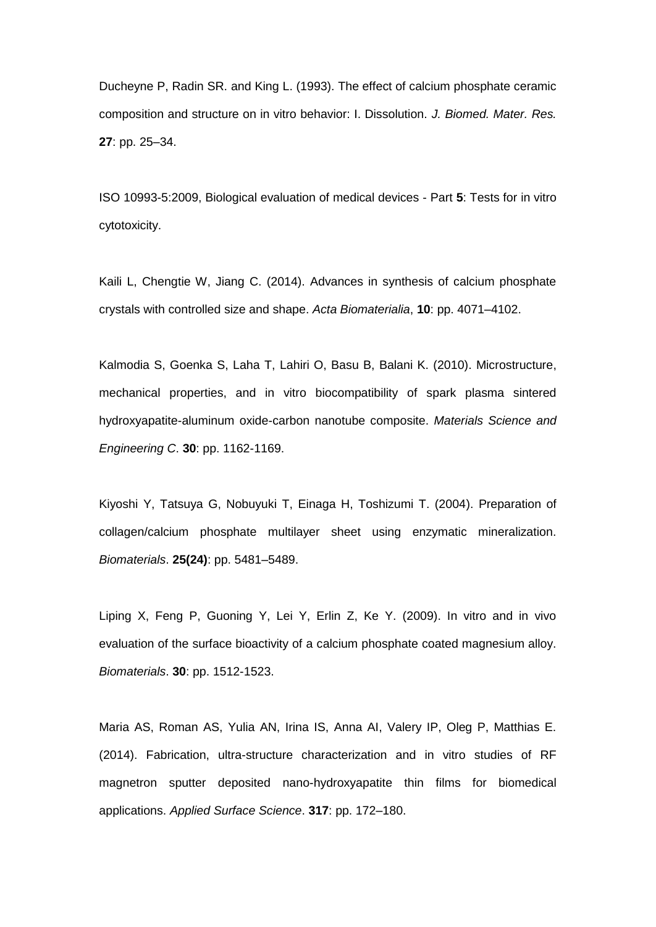Ducheyne P, Radin SR. and King L. (1993). The effect of calcium phosphate ceramic composition and structure on in vitro behavior: I. Dissolution. *J. Biomed. Mater. Res.*  **27**: pp. 25–34.

ISO 10993-5:2009, Biological evaluation of medical devices - Part **5**: Tests for in vitro cytotoxicity.

Kaili L, Chengtie W, Jiang C. (2014). Advances in synthesis of calcium phosphate crystals with controlled size and shape. *Acta Biomaterialia*, **10**: pp. 4071–4102.

Kalmodia S, Goenka S, Laha T, Lahiri O, Basu B, Balani K. (2010). Microstructure, mechanical properties, and in vitro biocompatibility of spark plasma sintered hydroxyapatite-aluminum oxide-carbon nanotube composite. *Materials Science and Engineering C*. **30**: pp. 1162-1169.

Kiyoshi Y, Tatsuya G, Nobuyuki T, Einaga H, Toshizumi T. (2004). Preparation of collagen/calcium phosphate multilayer sheet using enzymatic mineralization. *Biomaterials*. **25(24)**: pp. 5481–5489.

Liping X, Feng P, Guoning Y, Lei Y, Erlin Z, Ke Y. (2009). In vitro and in vivo evaluation of the surface bioactivity of a calcium phosphate coated magnesium alloy. *Biomaterials*. **30**: pp. 1512-1523.

Maria AS, Roman AS, Yulia AN, Irina IS, Anna AI, Valery IP, Oleg P, Matthias E. (2014). Fabrication, ultra-structure characterization and in vitro studies of RF magnetron sputter deposited nano-hydroxyapatite thin films for biomedical applications. *Applied Surface Science*. **317**: pp. 172–180.